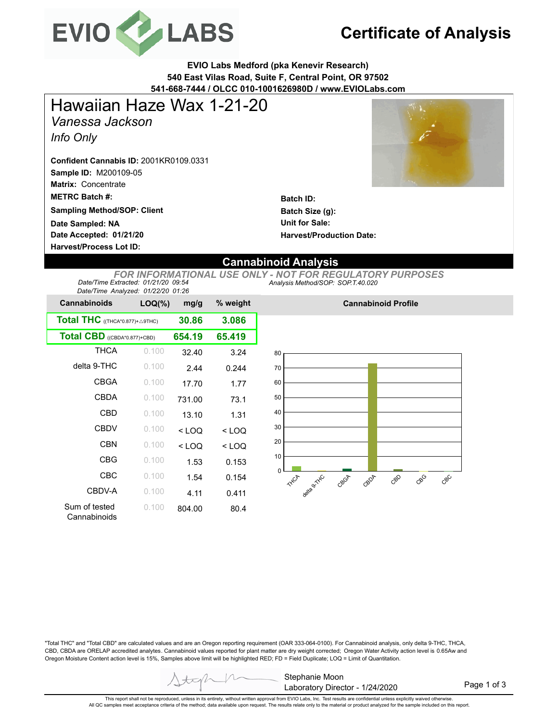

# **Certificate of Analysis**

**EVIO Labs Medford (pka Kenevir Research) 540 East Vilas Road, Suite F, Central Point, OR 97502 541-668-7444 / OLCC 010-1001626980D / www.EVIOLabs.com**

*Vanessa Jackson Info Only* Hawaiian Haze Wax 1-21-20

**Sample ID:** M200109-05 **Confident Cannabis ID:** 2001KR0109.0331

**Matrix:** Concentrate

**METRC Batch #:** 

**Sampling Method/SOP: Client**

**Date Accepted: 01/21/20 Date Sampled: NA**

**Harvest/Process Lot ID:** 



**Batch ID: Batch Size (g): Unit for Sale: Harvest/Production Date:** 

### **Cannabinoid Analysis**

*Analysis Method/SOP: SOP.T.40.020 FOR INFORMATIONAL USE ONLY - NOT FOR REGULATORY PURPOSES Date/Time Extracted: 01/21/20 09:54 Date/Time Analyzed: 01/22/20 01:26*

| batch inno fundiyzed. On zared on zo              |           |         |          |  |  |
|---------------------------------------------------|-----------|---------|----------|--|--|
| <b>Cannabinoids</b>                               | $LOQ(\%)$ | mg/g    | % weight |  |  |
| <b>Total THC</b> ((THCA*0.877)+ $\triangle$ 9THC) | 30.86     | 3.086   |          |  |  |
| Total CBD ((CBDA*0.877)+CBD)                      | 654.19    | 65.419  |          |  |  |
| <b>THCA</b>                                       | 0.100     | 32.40   | 3.24     |  |  |
| delta 9-THC                                       | 0.100     | 2.44    | 0.244    |  |  |
| <b>CBGA</b>                                       | 0.100     | 17.70   | 1.77     |  |  |
| <b>CBDA</b>                                       | 0.100     | 731.00  | 73.1     |  |  |
| CBD                                               | 0.100     | 13.10   | 1.31     |  |  |
| <b>CBDV</b>                                       | 0.100     | $<$ LOQ | < LOQ    |  |  |
| <b>CBN</b>                                        | 0.100     | $<$ LOQ | < LOQ    |  |  |
| CBG                                               | 0.100     | 1.53    | 0.153    |  |  |
| CBC                                               | 0.100     | 1.54    | 0.154    |  |  |
| CBDV-A                                            | 0.100     | 4.11    | 0.411    |  |  |
| Sum of tested<br>Cannabinoids                     | 0.100     | 804.00  | 80.4     |  |  |



**Cannabinoid Profile**

"Total THC" and "Total CBD" are calculated values and are an Oregon reporting requirement (OAR 333-064-0100). For Cannabinoid analysis, only delta 9-THC, THCA, CBD, CBDA are ORELAP accredited analytes. Cannabinoid values reported for plant matter are dry weight corrected; Oregon Water Activity action level is 0.65Aw and Oregon Moisture Content action level is 15%, Samples above limit will be highlighted RED; FD = Field Duplicate; LOQ = Limit of Quantitation.

Page 1 of 3

This report shall not be reproduced, unless in its entirety, without written approval from EVIO Labs, Inc. Test results are confidential unless explicitly waived otherwise. All QC samples meet acceptance criteria of the method; data available upon request. The results relate only to the material or product analyzed for the sample included on this report.